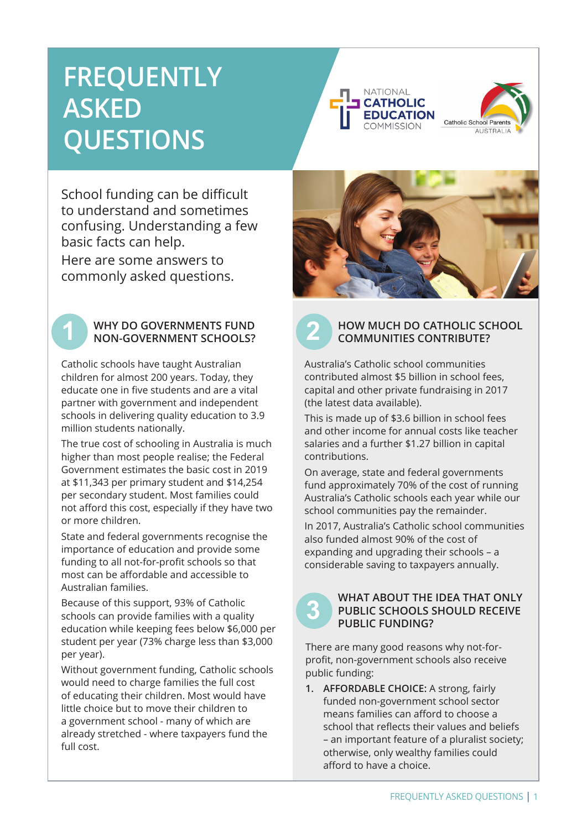# **FREQUENTLY ASKED QUESTIONS**





School funding can be difficult to understand and sometimes confusing. Understanding a few basic facts can help.

Here are some answers to commonly asked questions.



## **1 2** NON-GOVERNMENT SCHOOLS? **WHY DO GOVERNMENTS FUND**

Catholic schools have taught Australian children for almost 200 years. Today, they educate one in five students and are a vital partner with government and independent schools in delivering quality education to 3.9 million students nationally.

The true cost of schooling in Australia is much higher than most people realise; the Federal Government estimates the basic cost in 2019 at \$11,343 per primary student and \$14,254 per secondary student. Most families could not afford this cost, especially if they have two or more children.

State and federal governments recognise the importance of education and provide some funding to all not-for-profit schools so that most can be affordable and accessible to Australian families.

Because of this support, 93% of Catholic schools can provide families with a quality education while keeping fees below \$6,000 per student per year (73% charge less than \$3,000 per year).

Without government funding, Catholic schools would need to charge families the full cost of educating their children. Most would have little choice but to move their children to a government school - many of which are already stretched - where taxpayers fund the full cost.



**3**

### **HOW MUCH DO CATHOLIC SCHOOL COMMUNITIES CONTRIBUTE?**

Australia's Catholic school communities contributed almost \$5 billion in school fees, capital and other private fundraising in 2017 (the latest data available).

This is made up of \$3.6 billion in school fees and other income for annual costs like teacher salaries and a further \$1.27 billion in capital contributions.

On average, state and federal governments fund approximately 70% of the cost of running Australia's Catholic schools each year while our school communities pay the remainder.

In 2017, Australia's Catholic school communities also funded almost 90% of the cost of expanding and upgrading their schools – a considerable saving to taxpayers annually.

### **WHAT ABOUT THE IDEA THAT ONLY PUBLIC SCHOOLS SHOULD RECEIVE PUBLIC FUNDING?**

There are many good reasons why not-forprofit, non-government schools also receive public funding:

**1. AFFORDABLE CHOICE:** A strong, fairly funded non-government school sector means families can afford to choose a school that reflects their values and beliefs – an important feature of a pluralist society; otherwise, only wealthy families could afford to have a choice.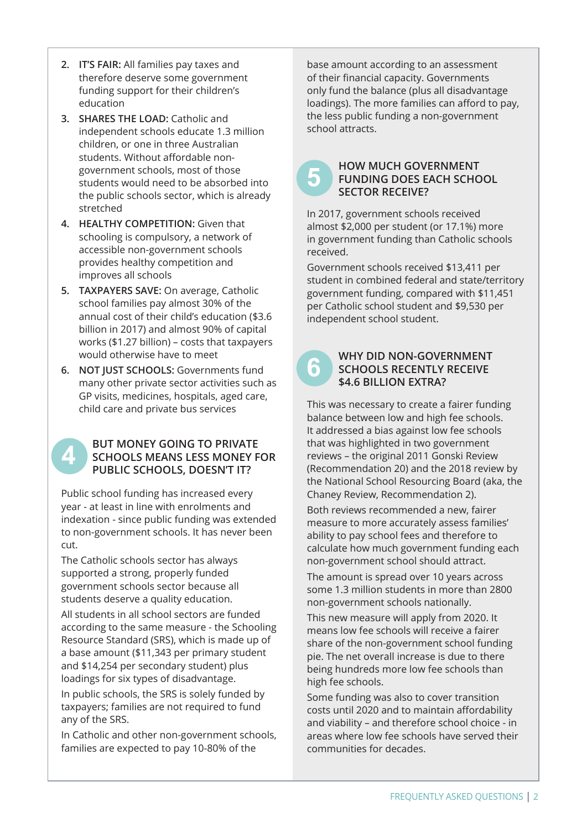- **2. IT'S FAIR:** All families pay taxes and therefore deserve some government funding support for their children's education
- **3. SHARES THE LOAD:** Catholic and independent schools educate 1.3 million children, or one in three Australian students. Without affordable nongovernment schools, most of those students would need to be absorbed into the public schools sector, which is already stretched
- **4. HEALTHY COMPETITION:** Given that schooling is compulsory, a network of accessible non-government schools provides healthy competition and improves all schools
- **5. TAXPAYERS SAVE:** On average, Catholic school families pay almost 30% of the annual cost of their child's education (\$3.6 billion in 2017) and almost 90% of capital works (\$1.27 billion) – costs that taxpayers would otherwise have to meet
- **6. NOT JUST SCHOOLS:** Governments fund many other private sector activities such as GP visits, medicines, hospitals, aged care, child care and private bus services
	- **BUT MONEY GOING TO PRIVATE SCHOOLS MEANS LESS MONEY FOR PUBLIC SCHOOLS, DOESN'T IT?**

Public school funding has increased every year - at least in line with enrolments and indexation - since public funding was extended to non-government schools. It has never been cut.

The Catholic schools sector has always supported a strong, properly funded government schools sector because all students deserve a quality education.

**4**

All students in all school sectors are funded according to the same measure - the Schooling Resource Standard (SRS), which is made up of a base amount (\$11,343 per primary student and \$14,254 per secondary student) plus loadings for six types of disadvantage.

In public schools, the SRS is solely funded by taxpayers; families are not required to fund any of the SRS.

In Catholic and other non-government schools, families are expected to pay 10-80% of the

base amount according to an assessment of their financial capacity. Governments only fund the balance (plus all disadvantage loadings). The more families can afford to pay, the less public funding a non-government school attracts.

### **5 HOW MUCH GOVERNMENT FUNDING DOES EACH SCHOOL SECTOR RECEIVE?**

In 2017, government schools received almost \$2,000 per student (or 17.1%) more in government funding than Catholic schools received.

Government schools received \$13,411 per student in combined federal and state/territory government funding, compared with \$11,451 per Catholic school student and \$9,530 per independent school student.

### **WHY DID NON-GOVERNMENT SCHOOLS RECENTLY RECEIVE \$4.6 BILLION EXTRA?**

This was necessary to create a fairer funding balance between low and high fee schools. It addressed a bias against low fee schools that was highlighted in two government reviews – the original 2011 Gonski Review (Recommendation 20) and the 2018 review by the National School Resourcing Board (aka, the Chaney Review, Recommendation 2).

Both reviews recommended a new, fairer measure to more accurately assess families' ability to pay school fees and therefore to calculate how much government funding each non-government school should attract.

The amount is spread over 10 years across some 1.3 million students in more than 2800 non-government schools nationally.

This new measure will apply from 2020. It means low fee schools will receive a fairer share of the non-government school funding pie. The net overall increase is due to there being hundreds more low fee schools than high fee schools.

Some funding was also to cover transition costs until 2020 and to maintain affordability and viability – and therefore school choice - in areas where low fee schools have served their communities for decades.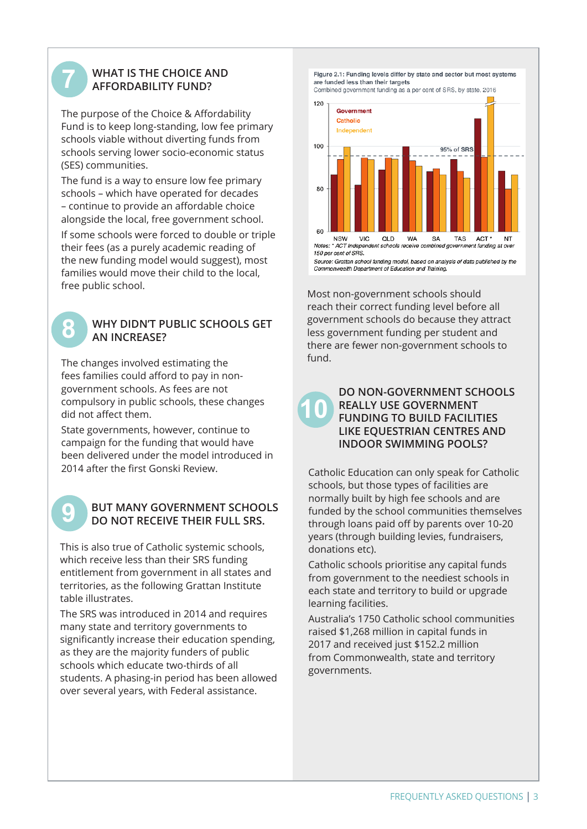## **7 WHAT IS THE CHOICE AND AFFORDABILITY FUND?**

The purpose of the Choice & Affordability Fund is to keep long-standing, low fee primary schools viable without diverting funds from schools serving lower socio-economic status (SES) communities.

The fund is a way to ensure low fee primary schools – which have operated for decades – continue to provide an affordable choice alongside the local, free government school.

If some schools were forced to double or triple their fees (as a purely academic reading of the new funding model would suggest), most families would move their child to the local, free public school.

### **8 WHY DIDN'T PUBLIC SCHOOLS GET AN INCREASE?**

The changes involved estimating the fees families could afford to pay in nongovernment schools. As fees are not compulsory in public schools, these changes did not affect them.

State governments, however, continue to campaign for the funding that would have been delivered under the model introduced in 2014 after the first Gonski Review.

# **9 BUT MANY GOVERNMENT SCHOOLS**<br>DO NOT RECEIVE THEIR FULL SRS.

This is also true of Catholic systemic schools, which receive less than their SRS funding entitlement from government in all states and territories, as the following Grattan Institute table illustrates.

The SRS was introduced in 2014 and requires many state and territory governments to significantly increase their education spending, as they are the majority funders of public schools which educate two-thirds of all students. A phasing-in period has been allowed over several years, with Federal assistance.

Figure 2.1: Funding levels differ by state and sector but most systems are funded less than their targets

Combined government funding as a per cent of SRS, by state, 2016



Source: Grattan school funding model, based on analysis of data published by the<br>Commonwealth Department of Education and Training.

Most non-government schools should reach their correct funding level before all government schools do because they attract less government funding per student and there are fewer non-government schools to fund.

> **DO NON-GOVERNMENT SCHOOLS REALLY USE GOVERNMENT FUNDING TO BUILD FACILITIES LIKE EQUESTRIAN CENTRES AND INDOOR SWIMMING POOLS?**

**10**

Catholic Education can only speak for Catholic schools, but those types of facilities are normally built by high fee schools and are funded by the school communities themselves through loans paid off by parents over 10-20 years (through building levies, fundraisers, donations etc).

Catholic schools prioritise any capital funds from government to the neediest schools in each state and territory to build or upgrade learning facilities.

Australia's 1750 Catholic school communities raised \$1,268 million in capital funds in 2017 and received just \$152.2 million from Commonwealth, state and territory governments.